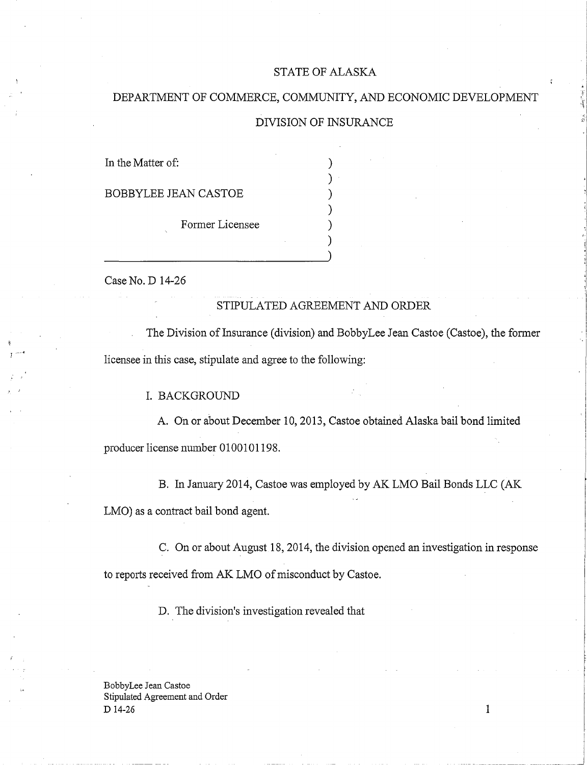#### STATE OF ALASKA

# DEPARTMENT OF COMMERCE, COMMUNITY, AND ECONOMIC DEVELOPMENT

## DIVISION OF INSURANCE

) ) ) ) ) )

In the Matter of:

BOBBYLEE JEAN CASTOE

Former Licensee

Case No. D 14-26

## STIPULATED AGREEMENT AND ORDER

The Division of Insurance (division) and BobbyLee Jean Castoe (Castoe), the former licensee in this case, stipulate and agree to the following:

I. BACKGROUND

A. On or about December 10, 2013, Castoe obtained Alaska bail bond limited producer license number 0100101198.

B. In January 2014, Castoe was employed by AK LMO Bail Bonds LLC (AK LMO) as a contract bail bond agent.

C. On or about August 18, 2014, the division opened an investigation in response to reports received from AK LMO of misconduct by Castoe.

D. The division's investigation revealed that

BobbyLee Jean Castoe Stipulated Agreement and Order  $D$  14-26 1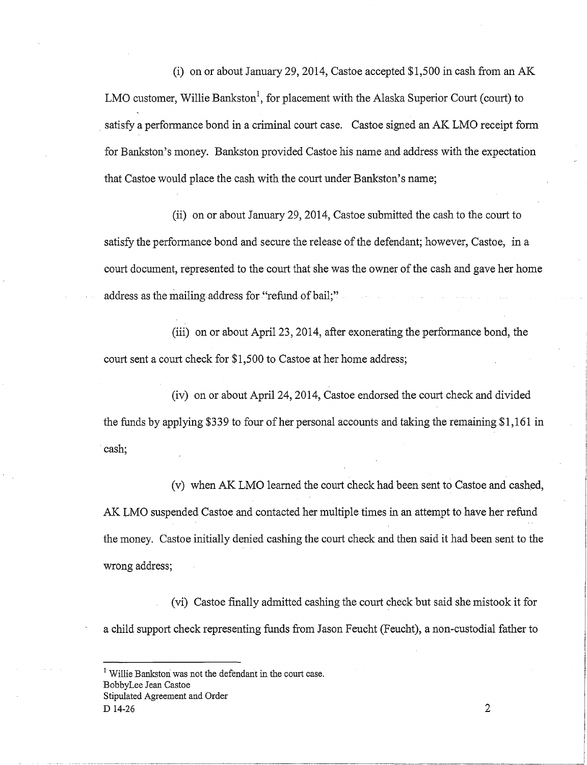(i) on or about January 29, 2014, Castoe accepted \$1,500 in cash from an AK LMO customer, Willie Bankston<sup>1</sup>, for placement with the Alaska Superior Court (court) to satisfy a performance bond in a criminal court case. Castoe signed an AK LMO receipt fonn for Bankston's money. Bankston provided Castoe his name and address with the expectation that Castoe would place the cash with the court under Bankston's name;

(ii) on or about January 29, 2014, Castoe submitted the cash to the court to satisfy the performance bond and secure the release of the defendant; however, Castoe, in a court document, represented to the court that she was the owner of the cash and gave her home address as the mailing address for "refund of bail;"

(iii) on or about April 23, 2014, after exonerating the perfonnance bond, the court sent a court check for \$1,500 to Castoe at her home address;

(iv) on or about April 24, 2014, Castoe endorsed the court check and divided the funds by applying \$339 to four of her personal accounts and taking the remaining \$1,161 in cash;

(v) when AK LMO learned the court check had been sent to Castoe and cashed, AK LMO suspended Castoe and contacted her multiple times in an attempt to have her refund the money. Castoe initially denied cashing the court check and then said it had been sent to the wrong address;

(vi) Castoe finally admitted cashing the court check but said she mistook it for a child support check representing funds from Jason Feucht (Feucht), a non-custodial father to

<sup>&</sup>lt;sup>1</sup> Willie Bankston was not the defendant in the court case. BobbyLee Jean Castoe Stipulated Agreement and Order D 14-26 2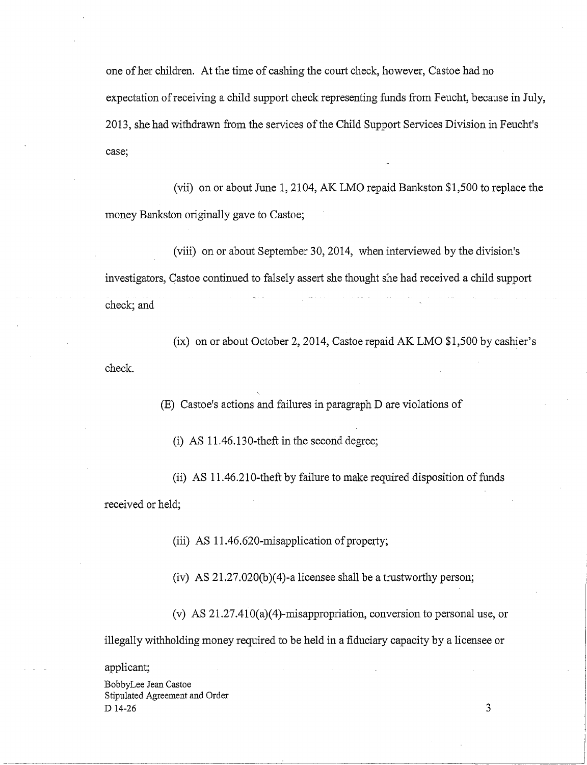one of her children. At the time of cashing the court check, however, Castoe had no expectation ofreceiving a child support check representing funds from Feucht, because in July, 2013, she had withdrawn from the services of the Child Support Services Division in Feucht's case;

(vii) on or about June 1, 2104, AK LMO repaid Bankston \$1,500 to replace the money Bankston originally gave to Castoe;

(viii) on or about September 30, 2014, when interviewed by the division's investigators, Castoe continued to falsely assert she thought she had received a child support check; and

(ix) on or about October 2, 2014, Castoe repaid AK LMO \$1,500 by cashier's check.

(E) Castoe's actions and failures in paragraph D are violations of

(i) AS 11.46.130-theft in the second degree;

(ii) AS 11.46.210-theft by failure to make required disposition of funds received or held;

(iii) AS 11.46.620-misapplication of property;

(iv) AS 21.27.020(b)(4)-a licensee shall be a trustworthy person;

(v) AS 21.27.410(a)(4)-misappropriation, conversion to personal use, or illegally withholding money required to be held in a fiduciary capacity by a licensee or

applicant;

BobbyLee Jean Castoe Stipulated Agreement and Order  $D$  14-26 3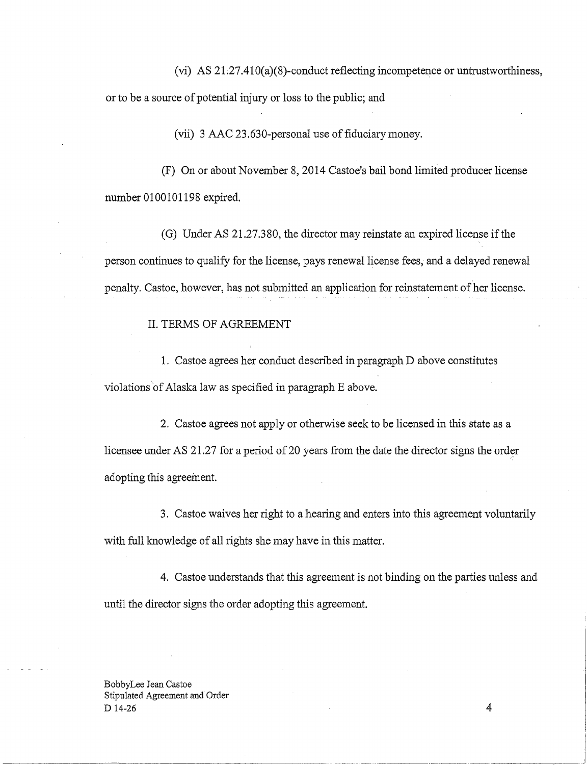(vi) AS  $21.27.410(a)(8)$ -conduct reflecting incompetence or untrustworthiness, or to be a source of potential injury or loss to the public; and

(vii) 3 AAC 23.630-personal use of fiduciary money.

(F) On or about November 8, 2014 Castoe's bail bond limited producer license number 0100101198 expired.

(G) Under AS 21.27.380, the director may reinstate an expired license if the person continues to qualify for the license, pays renewal license fees, and a delayed renewal penalty. Castoe, however, has not submitted an application for reinstatement of her license.

#### II. TERMS OF AGREEMENT

1. Castoe agrees her conduct described in paragraph D above constitutes violations of Alaska law as specified in paragraph E above.

2. Castoe agrees not apply or otherwise seek to be licensed in this state as a licensee under AS 21.27 for a period of 20 years from the date the director signs the order adopting this agreement.

3. Castoe waives her right to a hearing and enters into this agreement voluntarily with full knowledge of all rights she may have in this matter.

4. Castoe understands that this agreement is not binding on the parties unless and until the director signs the order adopting this agreement.

BobbyLee Jean Castoe Stipulated Agreement and Order  $D$  14-26 4